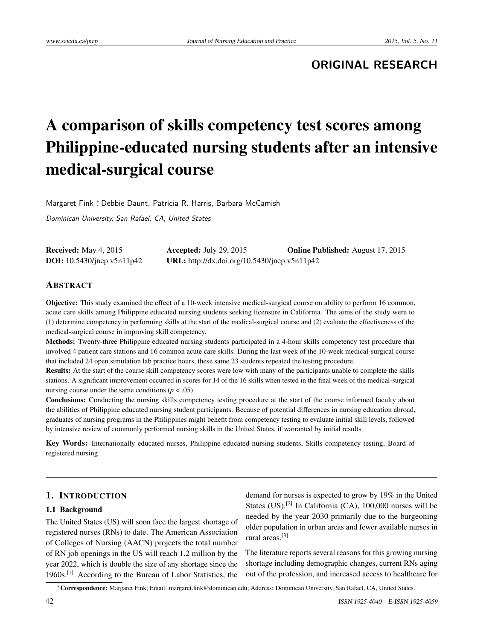## **ORIGINAL RESEARCH**

# A comparison of skills competency test scores among Philippine-educated nursing students after an intensive medical-surgical course

Margaret Fink ,\* Debbie Daunt, Patricia R. Harris, Barbara McCamish

Dominican University, San Rafael, CA, United States

| <b>Received:</b> May 4, 2015         | Accepted: July 29, 2015                      | <b>Online Published:</b> August 17, 2015 |
|--------------------------------------|----------------------------------------------|------------------------------------------|
| <b>DOI:</b> $10.5430$ /jnep.v5n11p42 | URL: http://dx.doi.org/10.5430/jnep.v5n11p42 |                                          |

## ABSTRACT

Objective: This study examined the effect of a 10-week intensive medical-surgical course on ability to perform 16 common, acute care skills among Philippine educated nursing students seeking licensure in California. The aims of the study were to (1) determine competency in performing skills at the start of the medical-surgical course and (2) evaluate the effectiveness of the medical-surgical course in improving skill competency.

Methods: Twenty-three Philippine educated nursing students participated in a 4-hour skills competency test procedure that involved 4 patient care stations and 16 common acute care skills. During the last week of the 10-week medical-surgical course that included 24 open simulation lab practice hours, these same 23 students repeated the testing procedure.

Results: At the start of the course skill competency scores were low with many of the participants unable to complete the skills stations. A significant improvement occurred in scores for 14 of the 16 skills when tested in the final week of the medical-surgical nursing course under the same conditions ( $p < .05$ ).

Conclusions: Conducting the nursing skills competency testing procedure at the start of the course informed faculty about the abilities of Philippine educated nursing student participants. Because of potential differences in nursing education abroad, graduates of nursing programs in the Philippines might benefit from competency testing to evaluate initial skill levels, followed by intensive review of commonly performed nursing skills in the United States, if warranted by initial results.

Key Words: Internationally educated nurses, Philippine educated nursing students, Skills competency testing, Board of registered nursing

#### 1. INTRODUCTION

#### 1.1 Background

The United States (US) will soon face the largest shortage of registered nurses (RNs) to date. The American Association of Colleges of Nursing (AACN) projects the total number of RN job openings in the US will reach 1.2 million by the year 2022, which is double the size of any shortage since the 1960s.[\[1\]](#page-8-0) According to the Bureau of Labor Statistics, the

demand for nurses is expected to grow by 19% in the United States (US).<sup>[\[2\]](#page-8-1)</sup> In California (CA), 100,000 nurses will be needed by the year 2030 primarily due to the burgeoning older population in urban areas and fewer available nurses in rural areas.[\[3\]](#page-8-2)

The literature reports several reasons for this growing nursing shortage including demographic changes, current RNs aging out of the profession, and increased access to healthcare for

<sup>∗</sup>Correspondence: Margaret Fink; Email: margaret.fink@dominican.edu; Address: Dominican University, San Rafael, CA, United States.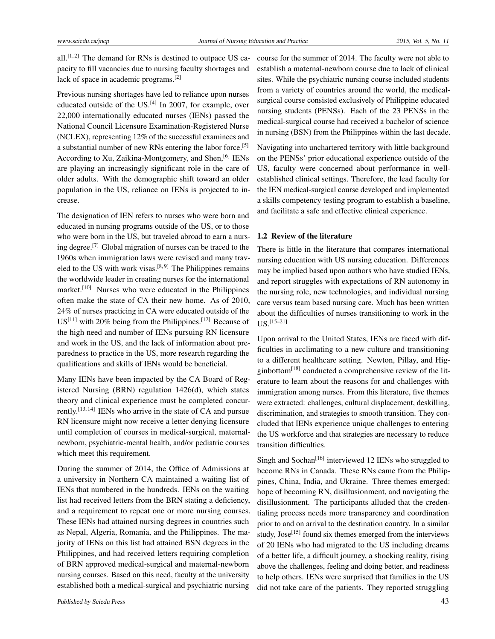all.<sup>[\[1,](#page-8-0)[2\]](#page-8-1)</sup> The demand for RNs is destined to outpace US capacity to fill vacancies due to nursing faculty shortages and lack of space in academic programs.[\[2\]](#page-8-1)

Previous nursing shortages have led to reliance upon nurses educated outside of the US.<sup>[\[4\]](#page-8-3)</sup> In 2007, for example, over 22,000 internationally educated nurses (IENs) passed the National Council Licensure Examination-Registered Nurse (NCLEX), representing 12% of the successful examinees and a substantial number of new RNs entering the labor force.[\[5\]](#page-8-4) According to Xu, Zaikina-Montgomery, and Shen, <sup>[\[6\]](#page-8-5)</sup> IENs are playing an increasingly significant role in the care of older adults. With the demographic shift toward an older population in the US, reliance on IENs is projected to increase.

The designation of IEN refers to nurses who were born and educated in nursing programs outside of the US, or to those who were born in the US, but traveled abroad to earn a nursing degree.[\[7\]](#page-8-6) Global migration of nurses can be traced to the 1960s when immigration laws were revised and many trav-eled to the US with work visas.<sup>[\[8,](#page-8-7) [9\]](#page-8-8)</sup> The Philippines remains the worldwide leader in creating nurses for the international market.[\[10\]](#page-8-9) Nurses who were educated in the Philippines often make the state of CA their new home. As of 2010, 24% of nurses practicing in CA were educated outside of the  $US<sup>[11]</sup>$  $US<sup>[11]</sup>$  $US<sup>[11]</sup>$  with 20% being from the Philippines.<sup>[\[12\]](#page-8-11)</sup> Because of the high need and number of IENs pursuing RN licensure and work in the US, and the lack of information about preparedness to practice in the US, more research regarding the qualifications and skills of IENs would be beneficial.

Many IENs have been impacted by the CA Board of Registered Nursing (BRN) regulation 1426(d), which states theory and clinical experience must be completed concur-rently.<sup>[\[13,](#page-8-12)[14\]](#page-8-13)</sup> IENs who arrive in the state of CA and pursue RN licensure might now receive a letter denying licensure until completion of courses in medical-surgical, maternalnewborn, psychiatric-mental health, and/or pediatric courses which meet this requirement.

During the summer of 2014, the Office of Admissions at a university in Northern CA maintained a waiting list of IENs that numbered in the hundreds. IENs on the waiting list had received letters from the BRN stating a deficiency, and a requirement to repeat one or more nursing courses. These IENs had attained nursing degrees in countries such as Nepal, Algeria, Romania, and the Philippines. The majority of IENs on this list had attained BSN degrees in the Philippines, and had received letters requiring completion of BRN approved medical-surgical and maternal-newborn nursing courses. Based on this need, faculty at the university established both a medical-surgical and psychiatric nursing

course for the summer of 2014. The faculty were not able to establish a maternal-newborn course due to lack of clinical sites. While the psychiatric nursing course included students from a variety of countries around the world, the medicalsurgical course consisted exclusively of Philippine educated nursing students (PENSs). Each of the 23 PENSs in the medical-surgical course had received a bachelor of science in nursing (BSN) from the Philippines within the last decade.

Navigating into unchartered territory with little background on the PENSs' prior educational experience outside of the US, faculty were concerned about performance in wellestablished clinical settings. Therefore, the lead faculty for the IEN medical-surgical course developed and implemented a skills competency testing program to establish a baseline, and facilitate a safe and effective clinical experience.

#### 1.2 Review of the literature

There is little in the literature that compares international nursing education with US nursing education. Differences may be implied based upon authors who have studied IENs, and report struggles with expectations of RN autonomy in the nursing role, new technologies, and individual nursing care versus team based nursing care. Much has been written about the difficulties of nurses transitioning to work in the US.[\[15–](#page-8-14)[21\]](#page-8-15)

Upon arrival to the United States, IENs are faced with difficulties in acclimating to a new culture and transitioning to a different healthcare setting. Newton, Pillay, and Hig-ginbottom<sup>[\[18\]](#page-8-16)</sup> conducted a comprehensive review of the literature to learn about the reasons for and challenges with immigration among nurses. From this literature, five themes were extracted: challenges, cultural displacement, deskilling, discrimination, and strategies to smooth transition. They concluded that IENs experience unique challenges to entering the US workforce and that strategies are necessary to reduce transition difficulties.

Singh and Sochan<sup>[\[16\]](#page-8-17)</sup> interviewed 12 IENs who struggled to become RNs in Canada. These RNs came from the Philippines, China, India, and Ukraine. Three themes emerged: hope of becoming RN, disillusionment, and navigating the disillusionment. The participants alluded that the credentialing process needs more transparency and coordination prior to and on arrival to the destination country. In a similar study, Jose<sup>[\[15\]](#page-8-14)</sup> found six themes emerged from the interviews of 20 IENs who had migrated to the US including dreams of a better life, a difficult journey, a shocking reality, rising above the challenges, feeling and doing better, and readiness to help others. IENs were surprised that families in the US did not take care of the patients. They reported struggling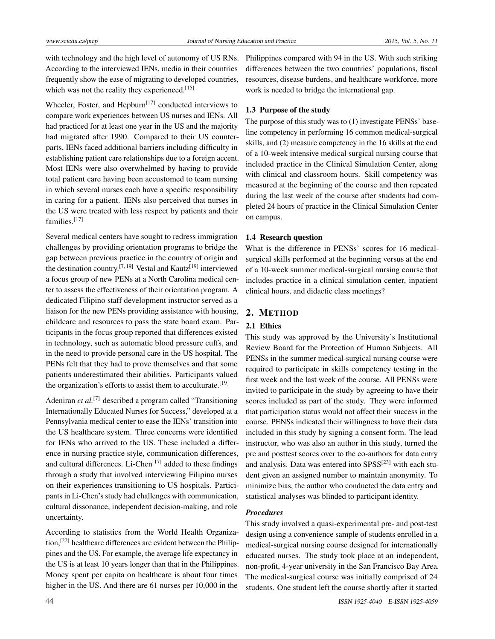with technology and the high level of autonomy of US RNs. According to the interviewed IENs, media in their countries frequently show the ease of migrating to developed countries, which was not the reality they experienced.<sup>[\[15\]](#page-8-14)</sup>

Wheeler, Foster, and Hepburn<sup>[\[17\]](#page-8-18)</sup> conducted interviews to compare work experiences between US nurses and IENs. All had practiced for at least one year in the US and the majority had migrated after 1990. Compared to their US counterparts, IENs faced additional barriers including difficulty in establishing patient care relationships due to a foreign accent. Most IENs were also overwhelmed by having to provide total patient care having been accustomed to team nursing in which several nurses each have a specific responsibility in caring for a patient. IENs also perceived that nurses in the US were treated with less respect by patients and their families.[\[17\]](#page-8-18)

Several medical centers have sought to redress immigration challenges by providing orientation programs to bridge the gap between previous practice in the country of origin and the destination country.<sup>[\[7,](#page-8-6) [19\]](#page-8-19)</sup> Vestal and Kautz<sup>[\[19\]](#page-8-19)</sup> interviewed a focus group of new PENs at a North Carolina medical center to assess the effectiveness of their orientation program. A dedicated Filipino staff development instructor served as a liaison for the new PENs providing assistance with housing, childcare and resources to pass the state board exam. Participants in the focus group reported that differences existed in technology, such as automatic blood pressure cuffs, and in the need to provide personal care in the US hospital. The PENs felt that they had to prove themselves and that some patients underestimated their abilities. Participants valued the organization's efforts to assist them to acculturate.<sup>[\[19\]](#page-8-19)</sup>

Adeniran *et al.*<sup>[\[7\]](#page-8-6)</sup> described a program called "Transitioning" Internationally Educated Nurses for Success," developed at a Pennsylvania medical center to ease the IENs' transition into the US healthcare system. Three concerns were identified for IENs who arrived to the US. These included a difference in nursing practice style, communication differences, and cultural differences. Li-Chen<sup>[\[17\]](#page-8-18)</sup> added to these findings through a study that involved interviewing Filipina nurses on their experiences transitioning to US hospitals. Participants in Li-Chen's study had challenges with communication, cultural dissonance, independent decision-making, and role uncertainty.

According to statistics from the World Health Organization,[\[22\]](#page-8-20) healthcare differences are evident between the Philippines and the US. For example, the average life expectancy in the US is at least 10 years longer than that in the Philippines. Money spent per capita on healthcare is about four times higher in the US. And there are 61 nurses per 10,000 in the

Philippines compared with 94 in the US. With such striking differences between the two countries' populations, fiscal resources, disease burdens, and healthcare workforce, more work is needed to bridge the international gap.

## 1.3 Purpose of the study

The purpose of this study was to (1) investigate PENSs' baseline competency in performing 16 common medical-surgical skills, and (2) measure competency in the 16 skills at the end of a 10-week intensive medical surgical nursing course that included practice in the Clinical Simulation Center, along with clinical and classroom hours. Skill competency was measured at the beginning of the course and then repeated during the last week of the course after students had completed 24 hours of practice in the Clinical Simulation Center on campus.

#### 1.4 Research question

What is the difference in PENSs' scores for 16 medicalsurgical skills performed at the beginning versus at the end of a 10-week summer medical-surgical nursing course that includes practice in a clinical simulation center, inpatient clinical hours, and didactic class meetings?

#### 2. METHOD

## 2.1 Ethics

This study was approved by the University's Institutional Review Board for the Protection of Human Subjects. All PENSs in the summer medical-surgical nursing course were required to participate in skills competency testing in the first week and the last week of the course. All PENSs were invited to participate in the study by agreeing to have their scores included as part of the study. They were informed that participation status would not affect their success in the course. PENSs indicated their willingness to have their data included in this study by signing a consent form. The lead instructor, who was also an author in this study, turned the pre and posttest scores over to the co-authors for data entry and analysis. Data was entered into SPSS<sup>[\[23\]](#page-8-21)</sup> with each student given an assigned number to maintain anonymity. To minimize bias, the author who conducted the data entry and statistical analyses was blinded to participant identity.

#### *Procedures*

This study involved a quasi-experimental pre- and post-test design using a convenience sample of students enrolled in a medical-surgical nursing course designed for internationally educated nurses. The study took place at an independent, non-profit, 4-year university in the San Francisco Bay Area. The medical-surgical course was initially comprised of 24 students. One student left the course shortly after it started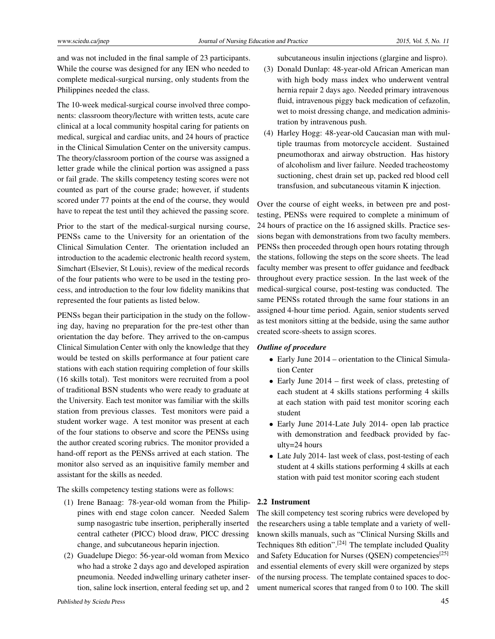and was not included in the final sample of 23 participants. While the course was designed for any IEN who needed to complete medical-surgical nursing, only students from the Philippines needed the class.

The 10-week medical-surgical course involved three components: classroom theory/lecture with written tests, acute care clinical at a local community hospital caring for patients on medical, surgical and cardiac units, and 24 hours of practice in the Clinical Simulation Center on the university campus. The theory/classroom portion of the course was assigned a letter grade while the clinical portion was assigned a pass or fail grade. The skills competency testing scores were not counted as part of the course grade; however, if students scored under 77 points at the end of the course, they would have to repeat the test until they achieved the passing score.

Prior to the start of the medical-surgical nursing course, PENSs came to the University for an orientation of the Clinical Simulation Center. The orientation included an introduction to the academic electronic health record system, Simchart (Elsevier, St Louis), review of the medical records of the four patients who were to be used in the testing process, and introduction to the four low fidelity manikins that represented the four patients as listed below.

PENSs began their participation in the study on the following day, having no preparation for the pre-test other than orientation the day before. They arrived to the on-campus Clinical Simulation Center with only the knowledge that they would be tested on skills performance at four patient care stations with each station requiring completion of four skills (16 skills total). Test monitors were recruited from a pool of traditional BSN students who were ready to graduate at the University. Each test monitor was familiar with the skills station from previous classes. Test monitors were paid a student worker wage. A test monitor was present at each of the four stations to observe and score the PENSs using the author created scoring rubrics. The monitor provided a hand-off report as the PENSs arrived at each station. The monitor also served as an inquisitive family member and assistant for the skills as needed.

The skills competency testing stations were as follows:

- (1) Irene Banaag: 78-year-old woman from the Philippines with end stage colon cancer. Needed Salem sump nasogastric tube insertion, peripherally inserted central catheter (PICC) blood draw, PICC dressing change, and subcutaneous heparin injection.
- (2) Guadelupe Diego: 56-year-old woman from Mexico who had a stroke 2 days ago and developed aspiration pneumonia. Needed indwelling urinary catheter insertion, saline lock insertion, enteral feeding set up, and 2

subcutaneous insulin injections (glargine and lispro).

- (3) Donald Dunlap: 48-year-old African American man with high body mass index who underwent ventral hernia repair 2 days ago. Needed primary intravenous fluid, intravenous piggy back medication of cefazolin, wet to moist dressing change, and medication administration by intravenous push.
- (4) Harley Hogg: 48-year-old Caucasian man with multiple traumas from motorcycle accident. Sustained pneumothorax and airway obstruction. Has history of alcoholism and liver failure. Needed tracheostomy suctioning, chest drain set up, packed red blood cell transfusion, and subcutaneous vitamin K injection.

Over the course of eight weeks, in between pre and posttesting, PENSs were required to complete a minimum of 24 hours of practice on the 16 assigned skills. Practice sessions began with demonstrations from two faculty members. PENSs then proceeded through open hours rotating through the stations, following the steps on the score sheets. The lead faculty member was present to offer guidance and feedback throughout every practice session. In the last week of the medical-surgical course, post-testing was conducted. The same PENSs rotated through the same four stations in an assigned 4-hour time period. Again, senior students served as test monitors sitting at the bedside, using the same author created score-sheets to assign scores.

#### *Outline of procedure*

- Early June 2014 orientation to the Clinical Simulation Center
- Early June 2014 first week of class, pretesting of each student at 4 skills stations performing 4 skills at each station with paid test monitor scoring each student
- Early June 2014-Late July 2014- open lab practice with demonstration and feedback provided by faculty=24 hours
- Late July 2014- last week of class, post-testing of each student at 4 skills stations performing 4 skills at each station with paid test monitor scoring each student

#### 2.2 Instrument

The skill competency test scoring rubrics were developed by the researchers using a table template and a variety of wellknown skills manuals, such as "Clinical Nursing Skills and Techniques 8th edition".[\[24\]](#page-8-22) The template included Quality and Safety Education for Nurses (QSEN) competencies<sup>[\[25\]](#page-8-23)</sup> and essential elements of every skill were organized by steps of the nursing process. The template contained spaces to document numerical scores that ranged from 0 to 100. The skill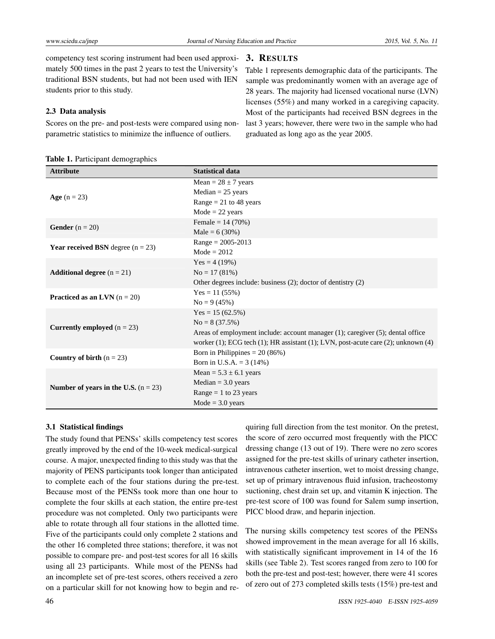competency test scoring instrument had been used approximately 500 times in the past 2 years to test the University's traditional BSN students, but had not been used with IEN students prior to this study.

#### 2.3 Data analysis

Scores on the pre- and post-tests were compared using nonparametric statistics to minimize the influence of outliers.

Table 1. Participant demographics

#### 3. RESULTS

Table 1 represents demographic data of the participants. The sample was predominantly women with an average age of 28 years. The majority had licensed vocational nurse (LVN) licenses (55%) and many worked in a caregiving capacity. Most of the participants had received BSN degrees in the last 3 years; however, there were two in the sample who had graduated as long ago as the year 2005.

| <b>Attribute</b>                           | <b>Statistical data</b>                                                                         |
|--------------------------------------------|-------------------------------------------------------------------------------------------------|
|                                            | Mean = $28 \pm 7$ years                                                                         |
| <b>Age</b> $(n = 23)$                      | $Median = 25 \text{ years}$                                                                     |
|                                            | Range = $21$ to 48 years                                                                        |
|                                            | $Mode = 22 years$                                                                               |
| <b>Gender</b> $(n = 20)$                   | Female = $14(70%)$                                                                              |
|                                            | Male = $6(30%)$                                                                                 |
| <b>Year received BSN</b> degree $(n = 23)$ | $Range = 2005 - 2013$                                                                           |
|                                            | $Mode = 2012$                                                                                   |
|                                            | Yes = $4(19%)$                                                                                  |
| <b>Additional degree</b> $(n = 21)$        | $No = 17(81%)$                                                                                  |
|                                            | Other degrees include: business (2); doctor of dentistry (2)                                    |
| <b>Practiced as an LVN</b> $(n = 20)$      | $Yes = 11 (55%)$                                                                                |
|                                            | $No = 9(45%)$                                                                                   |
|                                            | Yes = $15(62.5\%)$                                                                              |
| <b>Currently employed</b> $(n = 23)$       | $No = 8(37.5%)$                                                                                 |
|                                            | Areas of employment include: account manager (1); caregiver (5); dental office                  |
|                                            | worker $(1)$ ; ECG tech $(1)$ ; HR assistant $(1)$ ; LVN, post-acute care $(2)$ ; unknown $(4)$ |
| Country of birth $(n = 23)$                | Born in Philippines = $20(86%)$                                                                 |
|                                            | Born in U.S.A. = $3(14%)$                                                                       |
|                                            | Mean = $5.3 \pm 6.1$ years                                                                      |
| Number of years in the U.S. $(n = 23)$     | $Median = 3.0 years$                                                                            |
|                                            | Range = 1 to 23 years                                                                           |
|                                            | $Mode = 3.0 \text{ years}$                                                                      |

#### 3.1 Statistical findings

The study found that PENSs' skills competency test scores greatly improved by the end of the 10-week medical-surgical course. A major, unexpected finding to this study was that the majority of PENS participants took longer than anticipated to complete each of the four stations during the pre-test. Because most of the PENSs took more than one hour to complete the four skills at each station, the entire pre-test procedure was not completed. Only two participants were able to rotate through all four stations in the allotted time. Five of the participants could only complete 2 stations and the other 16 completed three stations; therefore, it was not possible to compare pre- and post-test scores for all 16 skills using all 23 participants. While most of the PENSs had an incomplete set of pre-test scores, others received a zero on a particular skill for not knowing how to begin and requiring full direction from the test monitor. On the pretest, the score of zero occurred most frequently with the PICC dressing change (13 out of 19). There were no zero scores assigned for the pre-test skills of urinary catheter insertion, intravenous catheter insertion, wet to moist dressing change, set up of primary intravenous fluid infusion, tracheostomy suctioning, chest drain set up, and vitamin K injection. The pre-test score of 100 was found for Salem sump insertion, PICC blood draw, and heparin injection.

The nursing skills competency test scores of the PENSs showed improvement in the mean average for all 16 skills, with statistically significant improvement in 14 of the 16 skills (see Table 2). Test scores ranged from zero to 100 for both the pre-test and post-test; however, there were 41 scores of zero out of 273 completed skills tests (15%) pre-test and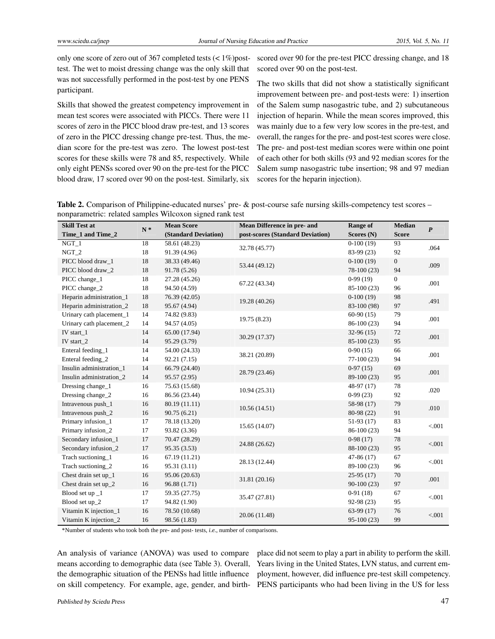only one score of zero out of 367 completed tests (< 1%)posttest. The wet to moist dressing change was the only skill that was not successfully performed in the post-test by one PENS participant.

Skills that showed the greatest competency improvement in mean test scores were associated with PICCs. There were 11 scores of zero in the PICC blood draw pre-test, and 13 scores of zero in the PICC dressing change pre-test. Thus, the median score for the pre-test was zero. The lowest post-test scores for these skills were 78 and 85, respectively. While only eight PENSs scored over 90 on the pre-test for the PICC blood draw, 17 scored over 90 on the post-test. Similarly, six

scored over 90 for the pre-test PICC dressing change, and 18 scored over 90 on the post-test.

The two skills that did not show a statistically significant improvement between pre- and post-tests were: 1) insertion of the Salem sump nasogastric tube, and 2) subcutaneous injection of heparin. While the mean scores improved, this was mainly due to a few very low scores in the pre-test, and overall, the ranges for the pre- and post-test scores were close. The pre- and post-test median scores were within one point of each other for both skills (93 and 92 median scores for the Salem sump nasogastric tube insertion; 98 and 97 median scores for the heparin injection).

Table 2. Comparison of Philippine-educated nurses' pre- & post-course safe nursing skills-competency test scores – nonparametric: related samples Wilcoxon signed rank test

| <b>Skill Test at</b>     | л.    | <b>Mean Score</b>    | Mean Difference in pre- and      | Range of     | <b>Median</b> |                  |
|--------------------------|-------|----------------------|----------------------------------|--------------|---------------|------------------|
| Time_1 and Time_2        | $N^*$ | (Standard Deviation) | post-scores (Standard Deviation) | Scores (N)   | <b>Score</b>  | $\boldsymbol{P}$ |
| $NGT_1$                  | 18    | 58.61 (48.23)        | 32.78 (45.77)                    | $0-100(19)$  | 93            | .064             |
| $NGT_2$                  | 18    | 91.39 (4.96)         |                                  | 83-99 (23)   | 92            |                  |
| PICC blood draw 1        | 18    | 38.33 (49.46)        | 53.44 (49.12)                    | $0-100(19)$  | $\mathbf{0}$  | .009             |
| PICC blood draw_2        | 18    | 91.78 (5.26)         |                                  | $78-100(23)$ | 94            |                  |
| PICC change_1            | 18    | 27.28 (45.26)        | 67.22 (43.34)                    | $0-99(19)$   | $\mathbf{0}$  | .001             |
| PICC change_2            | 18    | 94.50 (4.59)         |                                  | 85-100 (23)  | 96            |                  |
| Heparin administration_1 | 18    | 76.39 (42.05)        | 19.28 (40.26)                    | $0-100(19)$  | 98            | .491             |
| Heparin administration_2 | 18    | 95.67 (4.94)         |                                  | 83-100 (98)  | 97            |                  |
| Urinary cath placement_1 | 14    | 74.82 (9.83)         | 19.75 (8.23)                     | $60-90(15)$  | 79            | .001             |
| Urinary cath placement_2 | 14    | 94.57 (4.05)         |                                  | 86-100 (23)  | 94            |                  |
| IV start $\_1$           | 14    | 65.00 (17.94)        |                                  | $32-96(15)$  | 72            | .001             |
| IV start_2               | 14    | 95.29 (3.79)         | 30.29 (17.37)                    | 85-100 (23)  | 95            |                  |
| Enteral feeding_1        | 14    | 54.00 (24.33)        | 38.21 (20.89)                    | $0-90(15)$   | 66            | .001             |
| Enteral feeding_2        | 14    | 92.21(7.15)          |                                  | $77-100(23)$ | 94            |                  |
| Insulin administration_1 | 14    | 66.79 (24.40)        | 28.79 (23.46)                    | $0-97(15)$   | 69            | .001             |
| Insulin administration 2 | 14    | 95.57(2.95)          |                                  | 89-100 (23)  | 95            |                  |
| Dressing change_1        | 16    | 75.63 (15.68)        | 10.94(25.31)                     | 48-97 (17)   | 78            | .020             |
| Dressing change_2        | 16    | 86.56 (23.44)        |                                  | $0-99(23)$   | 92            |                  |
| Intravenous push_1       | 16    | 80.19 (11.11)        | 10.56(14.51)                     | 58-98 (17)   | 79            | .010             |
| Intravenous push_2       | 16    | 90.75(6.21)          |                                  | 80-98 (22)   | 91            |                  |
| Primary infusion 1       | 17    | 78.18 (13.20)        | 15.65 (14.07)                    | $51-93(17)$  | 83            | $< 001$          |
| Primary infusion_2       | 17    | 93.82 (3.36)         |                                  | 86-100 (23)  | 94            |                  |
| Secondary infusion_1     | 17    | 70.47 (28.29)        |                                  | $0-98(17)$   | 78            | < 0.001          |
| Secondary infusion_2     | 17    | 95.35 (3.53)         | 24.88 (26.62)                    | 88-100 (23)  | 95            |                  |
| Trach suctioning_1       | 16    | 67.19 (11.21)        | 28.13 (12.44)                    | $47-86(17)$  | 67            | < .001           |
| Trach suctioning_2       | 16    | 95.31 (3.11)         |                                  | 89-100 (23)  | 96            |                  |
| Chest drain set $up_1$   | 16    | 95.06 (20.63)        | 31.81 (20.16)                    | $25-95(17)$  | 70            | .001             |
| Chest drain set up_2     | 16    | 96.88(1.71)          |                                  | $90-100(23)$ | 97            |                  |
| Blood set up _1          | 17    | 59.35 (27.75)        | 35.47 (27.81)                    | $0-91(18)$   | 67            | < 0.001          |
| Blood set up_2           | 17    | 94.82 (1.90)         |                                  | 92-98 (23)   | 95            |                  |
| Vitamin K injection_1    | 16    | 78.50 (10.68)        | 20.06 (11.48)                    | $63-99(17)$  | 76            | < .001           |
| Vitamin K injection_2    | 16    | 98.56 (1.83)         |                                  | $95-100(23)$ | 99            |                  |

\*Number of students who took both the pre- and post- tests, *i.e.*, number of comparisons.

An analysis of variance (ANOVA) was used to compare means according to demographic data (see Table 3). Overall, the demographic situation of the PENSs had little influence

on skill competency. For example, age, gender, and birth-PENS participants who had been living in the US for less place did not seem to play a part in ability to perform the skill. Years living in the United States, LVN status, and current employment, however, did influence pre-test skill competency.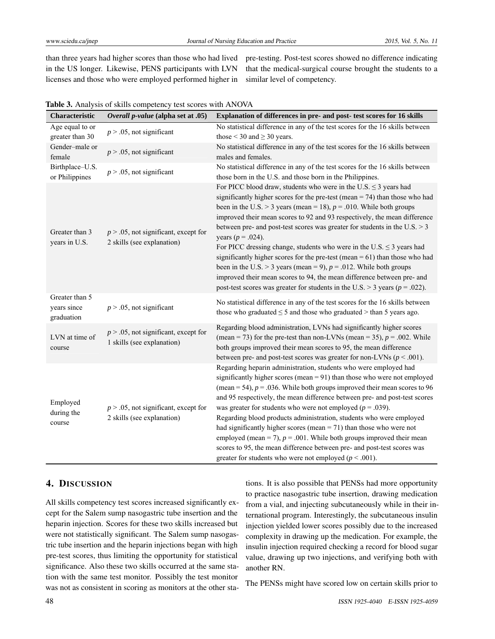than three years had higher scores than those who had lived in the US longer. Likewise, PENS participants with LVN licenses and those who were employed performed higher in

pre-testing. Post-test scores showed no difference indicating that the medical-surgical course brought the students to a similar level of competency.

| Characteristic                              | Overall p-value (alpha set at .05)                                     | Explanation of differences in pre- and post- test scores for 16 skills                                                                                                                                                                                                                                                                                                                                                                                                                                                                                                                                                                                                                                                                                                                                                        |
|---------------------------------------------|------------------------------------------------------------------------|-------------------------------------------------------------------------------------------------------------------------------------------------------------------------------------------------------------------------------------------------------------------------------------------------------------------------------------------------------------------------------------------------------------------------------------------------------------------------------------------------------------------------------------------------------------------------------------------------------------------------------------------------------------------------------------------------------------------------------------------------------------------------------------------------------------------------------|
| Age equal to or<br>greater than 30          | $p > .05$ , not significant                                            | No statistical difference in any of the test scores for the 16 skills between<br>those $<$ 30 and $\geq$ 30 years.                                                                                                                                                                                                                                                                                                                                                                                                                                                                                                                                                                                                                                                                                                            |
| Gender-male or<br>female                    | $p > .05$ , not significant                                            | No statistical difference in any of the test scores for the 16 skills between<br>males and females.                                                                                                                                                                                                                                                                                                                                                                                                                                                                                                                                                                                                                                                                                                                           |
| Birthplace-U.S.<br>or Philippines           | $p > .05$ , not significant                                            | No statistical difference in any of the test scores for the 16 skills between<br>those born in the U.S. and those born in the Philippines.                                                                                                                                                                                                                                                                                                                                                                                                                                                                                                                                                                                                                                                                                    |
| Greater than 3<br>years in U.S.             | $p > .05$ , not significant, except for<br>2 skills (see explanation)  | For PICC blood draw, students who were in the U.S. $\leq$ 3 years had<br>significantly higher scores for the pre-test (mean $= 74$ ) than those who had<br>been in the U.S. > 3 years (mean = 18), $p = .010$ . While both groups<br>improved their mean scores to 92 and 93 respectively, the mean difference<br>between pre- and post-test scores was greater for students in the U.S. $> 3$<br>years ( $p = .024$ ).<br>For PICC dressing change, students who were in the U.S. $\leq$ 3 years had<br>significantly higher scores for the pre-test (mean $= 61$ ) than those who had<br>been in the U.S. > 3 years (mean = 9), $p = .012$ . While both groups<br>improved their mean scores to 94, the mean difference between pre- and<br>post-test scores was greater for students in the U.S. > 3 years ( $p = .022$ ). |
| Greater than 5<br>years since<br>graduation | $p > .05$ , not significant                                            | No statistical difference in any of the test scores for the 16 skills between<br>those who graduated $\leq$ 5 and those who graduated $>$ than 5 years ago.                                                                                                                                                                                                                                                                                                                                                                                                                                                                                                                                                                                                                                                                   |
| LVN at time of<br>course                    | $p > 0.05$ , not significant, except for<br>1 skills (see explanation) | Regarding blood administration, LVNs had significantly higher scores<br>(mean = 73) for the pre-test than non-LVNs (mean = 35), $p = .002$ . While<br>both groups improved their mean scores to 95, the mean difference<br>between pre- and post-test scores was greater for non-LVNs ( $p < .001$ ).                                                                                                                                                                                                                                                                                                                                                                                                                                                                                                                         |
| Employed<br>during the<br>course            | $p > 0.05$ , not significant, except for<br>2 skills (see explanation) | Regarding heparin administration, students who were employed had<br>significantly higher scores (mean = $91$ ) than those who were not employed<br>(mean = 54), $p = 0.036$ . While both groups improved their mean scores to 96<br>and 95 respectively, the mean difference between pre- and post-test scores<br>was greater for students who were not employed ( $p = .039$ ).<br>Regarding blood products administration, students who were employed<br>had significantly higher scores (mean $= 71$ ) than those who were not<br>employed (mean = 7), $p = .001$ . While both groups improved their mean<br>scores to 95, the mean difference between pre- and post-test scores was<br>greater for students who were not employed ( $p < .001$ ).                                                                         |

|  | Table 3. Analysis of skills competency test scores with ANOVA |  |
|--|---------------------------------------------------------------|--|
|--|---------------------------------------------------------------|--|

## 4. DISCUSSION

All skills competency test scores increased significantly except for the Salem sump nasogastric tube insertion and the heparin injection. Scores for these two skills increased but were not statistically significant. The Salem sump nasogastric tube insertion and the heparin injections began with high pre-test scores, thus limiting the opportunity for statistical significance. Also these two skills occurred at the same station with the same test monitor. Possibly the test monitor was not as consistent in scoring as monitors at the other stations. It is also possible that PENSs had more opportunity to practice nasogastric tube insertion, drawing medication from a vial, and injecting subcutaneously while in their international program. Interestingly, the subcutaneous insulin injection yielded lower scores possibly due to the increased complexity in drawing up the medication. For example, the insulin injection required checking a record for blood sugar value, drawing up two injections, and verifying both with another RN.

The PENSs might have scored low on certain skills prior to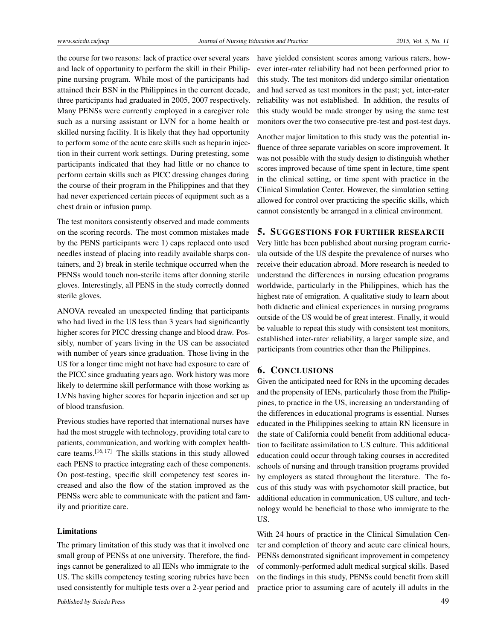the course for two reasons: lack of practice over several years and lack of opportunity to perform the skill in their Philippine nursing program. While most of the participants had attained their BSN in the Philippines in the current decade, three participants had graduated in 2005, 2007 respectively. Many PENSs were currently employed in a caregiver role such as a nursing assistant or LVN for a home health or skilled nursing facility. It is likely that they had opportunity to perform some of the acute care skills such as heparin injection in their current work settings. During pretesting, some participants indicated that they had little or no chance to perform certain skills such as PICC dressing changes during the course of their program in the Philippines and that they had never experienced certain pieces of equipment such as a chest drain or infusion pump.

The test monitors consistently observed and made comments on the scoring records. The most common mistakes made by the PENS participants were 1) caps replaced onto used needles instead of placing into readily available sharps containers, and 2) break in sterile technique occurred when the PENSs would touch non-sterile items after donning sterile gloves. Interestingly, all PENS in the study correctly donned sterile gloves.

ANOVA revealed an unexpected finding that participants who had lived in the US less than 3 years had significantly higher scores for PICC dressing change and blood draw. Possibly, number of years living in the US can be associated with number of years since graduation. Those living in the US for a longer time might not have had exposure to care of the PICC since graduating years ago. Work history was more likely to determine skill performance with those working as LVNs having higher scores for heparin injection and set up of blood transfusion.

Previous studies have reported that international nurses have had the most struggle with technology, providing total care to patients, communication, and working with complex healthcare teams.[\[16,](#page-8-17) [17\]](#page-8-18) The skills stations in this study allowed each PENS to practice integrating each of these components. On post-testing, specific skill competency test scores increased and also the flow of the station improved as the PENSs were able to communicate with the patient and family and prioritize care.

#### Limitations

The primary limitation of this study was that it involved one small group of PENSs at one university. Therefore, the findings cannot be generalized to all IENs who immigrate to the US. The skills competency testing scoring rubrics have been used consistently for multiple tests over a 2-year period and

have yielded consistent scores among various raters, however inter-rater reliability had not been performed prior to this study. The test monitors did undergo similar orientation and had served as test monitors in the past; yet, inter-rater reliability was not established. In addition, the results of this study would be made stronger by using the same test monitors over the two consecutive pre-test and post-test days.

Another major limitation to this study was the potential influence of three separate variables on score improvement. It was not possible with the study design to distinguish whether scores improved because of time spent in lecture, time spent in the clinical setting, or time spent with practice in the Clinical Simulation Center. However, the simulation setting allowed for control over practicing the specific skills, which cannot consistently be arranged in a clinical environment.

#### 5. SUGGESTIONS FOR FURTHER RESEARCH

Very little has been published about nursing program curricula outside of the US despite the prevalence of nurses who receive their education abroad. More research is needed to understand the differences in nursing education programs worldwide, particularly in the Philippines, which has the highest rate of emigration. A qualitative study to learn about both didactic and clinical experiences in nursing programs outside of the US would be of great interest. Finally, it would be valuable to repeat this study with consistent test monitors, established inter-rater reliability, a larger sample size, and participants from countries other than the Philippines.

#### 6. CONCLUSIONS

Given the anticipated need for RNs in the upcoming decades and the propensity of IENs, particularly those from the Philippines, to practice in the US, increasing an understanding of the differences in educational programs is essential. Nurses educated in the Philippines seeking to attain RN licensure in the state of California could benefit from additional education to facilitate assimilation to US culture. This additional education could occur through taking courses in accredited schools of nursing and through transition programs provided by employers as stated throughout the literature. The focus of this study was with psychomotor skill practice, but additional education in communication, US culture, and technology would be beneficial to those who immigrate to the US.

With 24 hours of practice in the Clinical Simulation Center and completion of theory and acute care clinical hours, PENSs demonstrated significant improvement in competency of commonly-performed adult medical surgical skills. Based on the findings in this study, PENSs could benefit from skill practice prior to assuming care of acutely ill adults in the